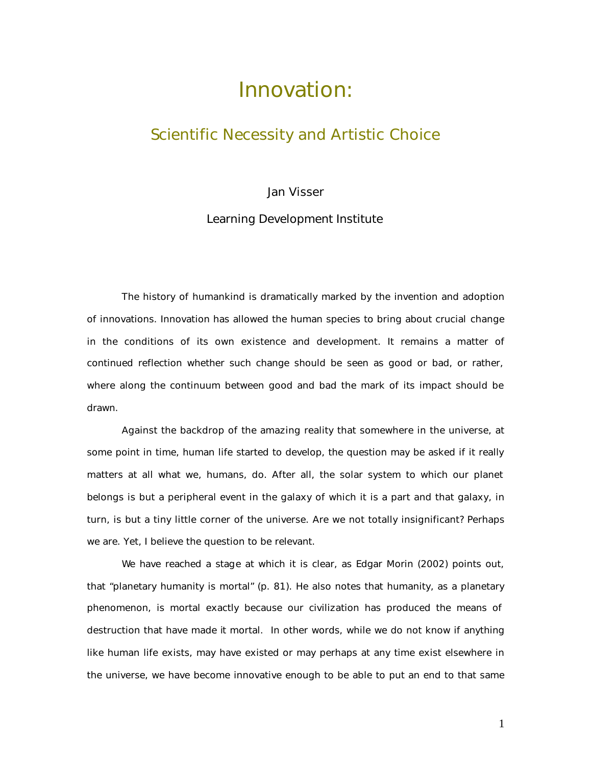# Innovation:

## Scientific Necessity and Artistic Choice

### Jan Visser

Learning Development Institute

The history of humankind is dramatically marked by the invention and adoption of innovations. Innovation has allowed the human species to bring about crucial change in the conditions of its own existence and development. It remains a matter of continued reflection whether such change should be seen as good or bad, or rather, where along the continuum between good and bad the mark of its impact should be drawn.

Against the backdrop of the amazing reality that somewhere in the universe, at some point in time, human life started to develop, the question may be asked if it really matters at all what we, humans, do. After all, the solar system to which our planet belongs is but a peripheral event in the galaxy of which it is a part and that galaxy, in turn, is but a tiny little corner of the universe. Are we not totally insignificant? Perhaps we are. Yet, I believe the question to be relevant.

We have reached a stage at which it is clear, as Edgar Morin (2002) points out, that "planetary humanity is mortal" (p. 81). He also notes that humanity, as a planetary phenomenon, is mortal exactly because our civilization has produced the means of destruction that have made it mortal. In other words, while we do not know if anything like human life exists, may have existed or may perhaps at any time exist elsewhere in the universe, we have become innovative enough to be able to put an end to that same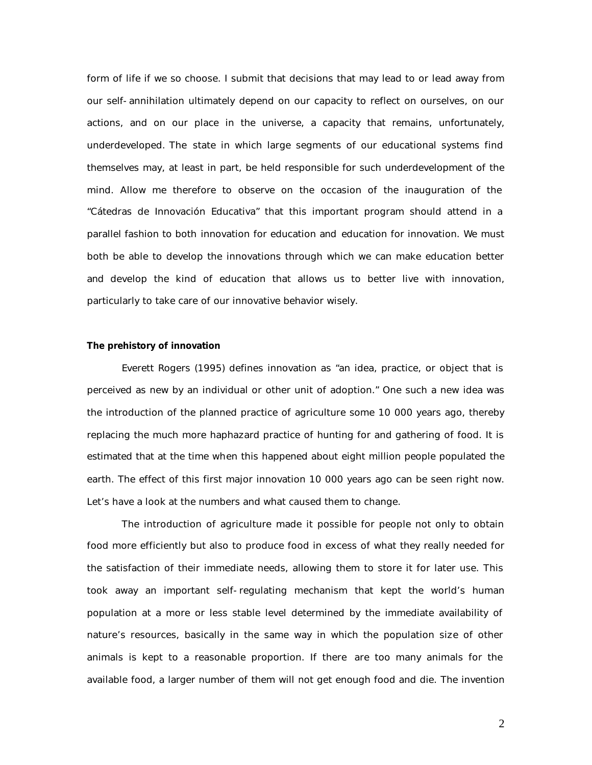form of life if we so choose. I submit that decisions that may lead to or lead away from our self-annihilation ultimately depend on our capacity to reflect on ourselves, on our actions, and on our place in the universe, a capacity that remains, unfortunately, underdeveloped. The state in which large segments of our educational systems find themselves may, at least in part, be held responsible for such underdevelopment of the mind. Allow me therefore to observe on the occasion of the inauguration of the "Cátedras de Innovación Educativa" that this important program should attend in a parallel fashion to both *innovation for education* and *education for innovation*. We must both be able to develop the innovations through which we can make education better *and* develop the kind of education that allows us to better live with innovation, particularly to take care of our innovative behavior wisely.

#### **The prehistory of innovation**

Everett Rogers (1995) defines innovation as "an idea, practice, or object that is perceived as new by an individual or other unit of adoption." One such a new idea was the introduction of the planned practice of agriculture some 10 000 years ago, thereby replacing the much more haphazard practice of hunting for and gathering of food. It is estimated that at the time when this happened about eight million people populated the earth. The effect of this first major innovation 10 000 years ago can be seen right now. Let's have a look at the numbers and what caused them to change.

The introduction of agriculture made it possible for people not only to obtain food more efficiently but also to produce food in excess of what they really needed for the satisfaction of their immediate needs, allowing them to store it for later use. This took away an important self-regulating mechanism that kept the world's human population at a more or less stable level determined by the immediate availability of nature's resources, basically in the same way in which the population size of other animals is kept to a reasonable proportion. If there are too many animals for the available food, a larger number of them will not get enough food and die. The invention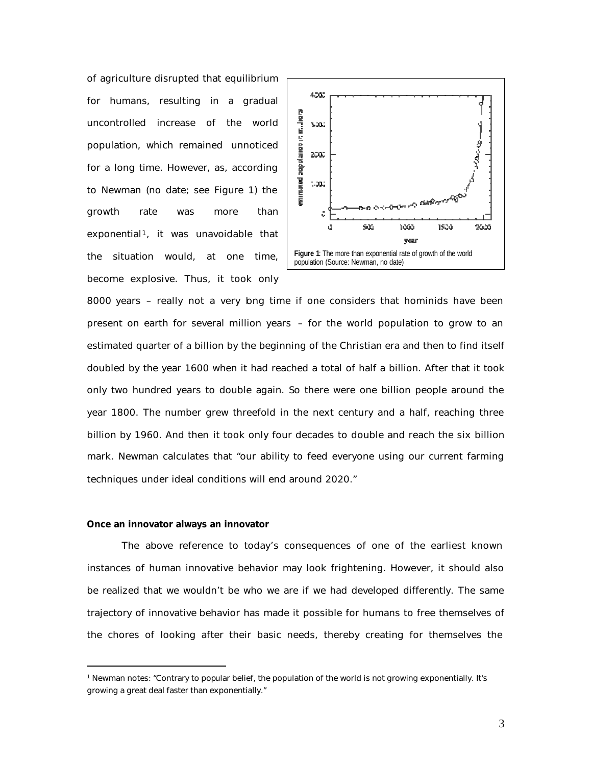of agriculture disrupted that equilibrium for humans, resulting in a gradual uncontrolled increase of the world population, which remained unnoticed for a long time. However, as, according to Newman (no date; see Figure 1) the growth rate was *more than exponential<sup>1</sup>*, it was unavoidable that the situation would, at one time, become explosive. Thus, it took only



8000 years – really not a very bng time if one considers that hominids have been present on earth for several million years – for the world population to grow to an estimated quarter of a billion by the beginning of the Christian era and then to find itself doubled by the year 1600 when it had reached a total of half a billion. After that it took only two hundred years to double again. So there were one billion people around the year 1800. The number grew threefold in the next century and a half, reaching three billion by 1960. And then it took only four decades to double and reach the six billion mark. Newman calculates that "our ability to feed everyone using our current farming techniques under ideal conditions will end around 2020."

#### **Once an innovator always an innovator**

 $\overline{a}$ 

The above reference to today's consequences of one of the earliest known instances of human innovative behavior may look frightening. However, it should also be realized that we wouldn't be who we are if we had developed differently. The same trajectory of innovative behavior has made it possible for humans to free themselves of the chores of looking after their basic needs, thereby creating for themselves the

<sup>1</sup> Newman notes: "Contrary to popular belief, the population of the world is not growing exponentially. It's growing a great deal faster than exponentially."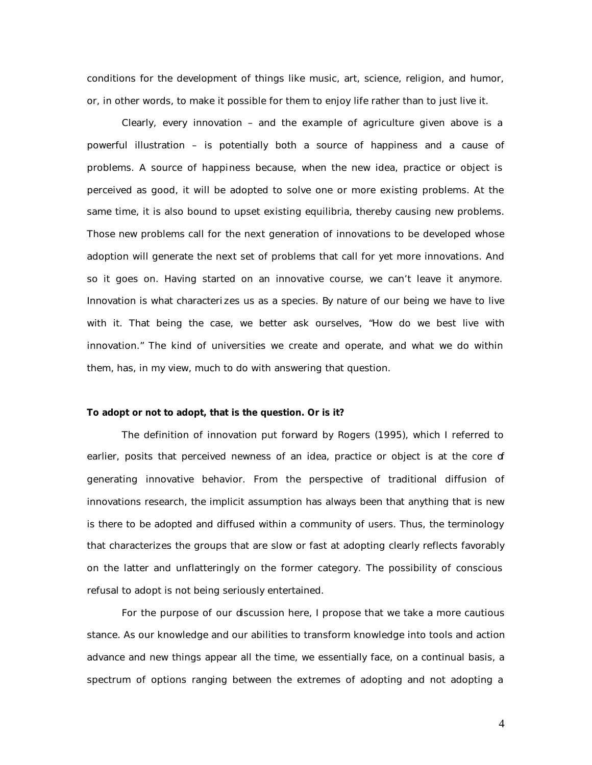conditions for the development of things like music, art, science, religion, and humor, or, in other words, to make it possible for them to enjoy life rather than to just live it.

Clearly, every innovation – and the example of agriculture given above is a powerful illustration – is potentially both a source of happiness and a cause of problems. A source of happiness because, when the new idea, practice or object is perceived as good, it will be adopted to solve one or more existing problems. At the same time, it is also bound to upset existing equilibria, thereby causing new problems. Those new problems call for the next generation of innovations to be developed whose adoption will generate the next set of problems that call for yet more innovations. And so it goes on. Having started on an innovative course, we can't leave it anymore. Innovation is what characteri zes us as a species. By nature of our being we have to live with it. That being the case, we better ask ourselves, "How do we best live with innovation." The kind of universities we create and operate, and what we do within them, has, in my view, much to do with answering that question.

#### **To adopt or not to adopt, that is the question. Or is it?**

The definition of innovation put forward by Rogers (1995), which I referred to earlier, posits that perceived newness of an idea, practice or object is at the core of generating innovative behavior. From the perspective of traditional diffusion of innovations research, the implicit assumption has always been that anything that is new is there to be adopted and diffused within a community of users. Thus, the terminology that characterizes the groups that are slow or fast at adopting clearly reflects favorably on the latter and unflatteringly on the former category. The possibility of conscious refusal to adopt is not being seriously entertained.

For the purpose of our discussion here, I propose that we take a more cautious stance. As our knowledge and our abilities to transform knowledge into tools and action advance and new things appear all the time, we essentially face, on a continual basis, a spectrum of options ranging between the extremes of adopting and not adopting a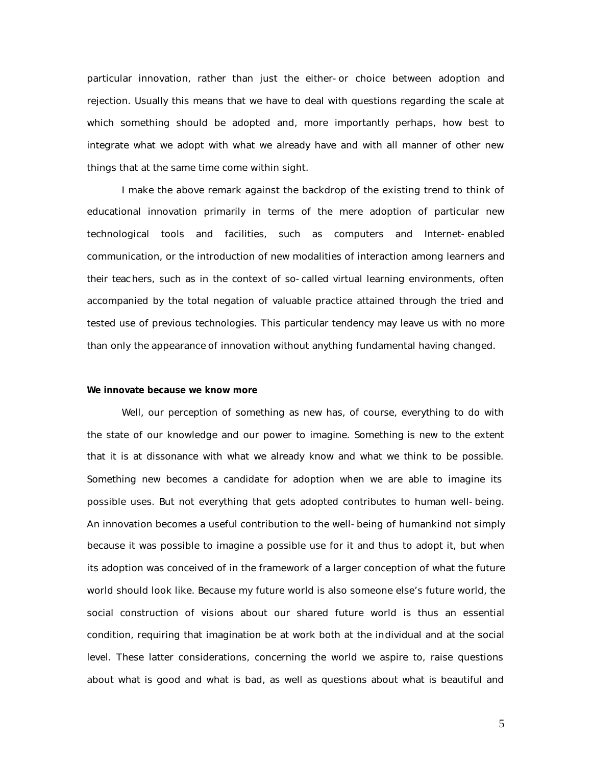particular innovation, rather than just the either-or choice between adoption and rejection. Usually this means that we have to deal with questions regarding the scale at which something should be adopted and, more importantly perhaps, how best to integrate what we adopt with what we already have and with all manner of other new things that at the same time come within sight.

I make the above remark against the backdrop of the existing trend to think of educational innovation primarily in terms of the mere adoption of particular new technological tools and facilities, such as computers and Internet-enabled communication, or the introduction of new modalities of interaction among learners and their teachers, such as in the context of so-called virtual learning environments, often accompanied by the total negation of valuable practice attained through the tried and tested use of previous technologies. This particular tendency may leave us with no more than only the *appearance* of innovation without anything fundamental having changed.

#### **We innovate because we know more**

Well, our perception of something as new has, of course, everything to do with the state of our knowledge and our power to imagine. Something is new to the extent that it is at dissonance with what we already know and what we think to be possible. Something new becomes a candidate for adoption when we are able to imagine its possible uses. But not everything that gets adopted contributes to human well-being. An innovation becomes a useful contribution to the well-being of humankind not simply because it was possible to imagine a possible use for it and thus to adopt it, but when its adoption was conceived of in the framework of a larger conception of what the future world should look like. Because my future world is also someone else's future world, the *social construction* of visions about our shared future world is thus an essential condition, requiring that imagination be at work both at the individual and at the social level. These latter considerations, concerning the world we aspire to, raise questions about what is good and what is bad, as well as questions about what is beautiful and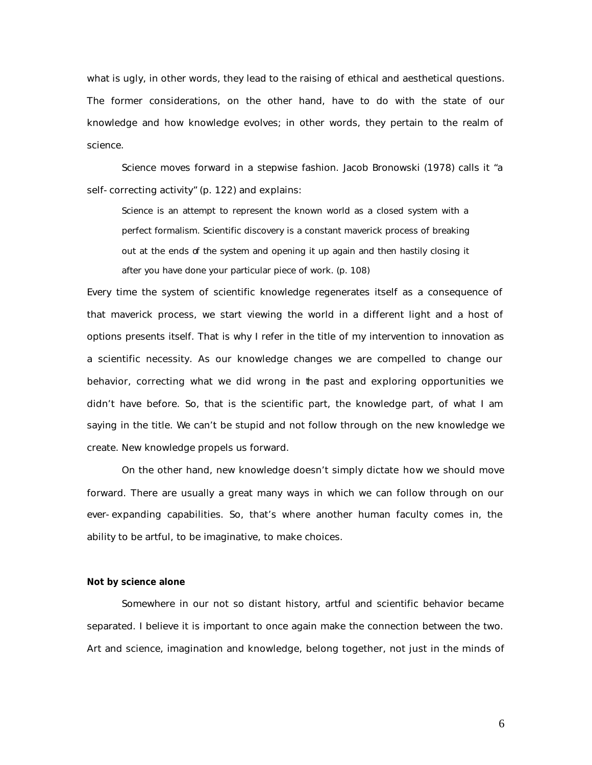what is ugly, in other words, they lead to the raising of ethical and aesthetical questions. The former considerations, on the other hand, have to do with the state of our knowledge and how knowledge evolves; in other words, they pertain to the realm of science.

Science moves forward in a stepwise fashion. Jacob Bronowski (1978) calls it "a self-correcting activity" (p. 122) and explains:

Science is an attempt to represent the known world as a closed system with a perfect formalism. Scientific discovery is a constant maverick process of breaking out at the ends of the system and opening it up again and then hastily closing it after you have done your particular piece of work. (p. 108)

Every time the system of scientific knowledge regenerates itself as a consequence of that maverick process, we start viewing the world in a different light and a host of options presents itself. That is why I refer in the title of my intervention to innovation as a scientific necessity. As our knowledge changes we are compelled to change our behavior, correcting what we did wrong in the past and exploring opportunities we didn't have before. So, that is the scientific part, the knowledge part, of what I am saying in the title. We can't be stupid and not follow through on the new knowledge we create. New knowledge propels us forward.

On the other hand, new knowledge doesn't simply dictate *how* we should move forward. There are usually a great many ways in which we can follow through on our ever-expanding capabilities. So, that's where another human faculty comes in, the ability to be artful, to be imaginative, to make choices.

#### **Not by science alone**

Somewhere in our not so distant history, artful and scientific behavior became separated. I believe it is important to once again make the connection between the two. Art and science, imagination and knowledge, belong together, not just in the minds of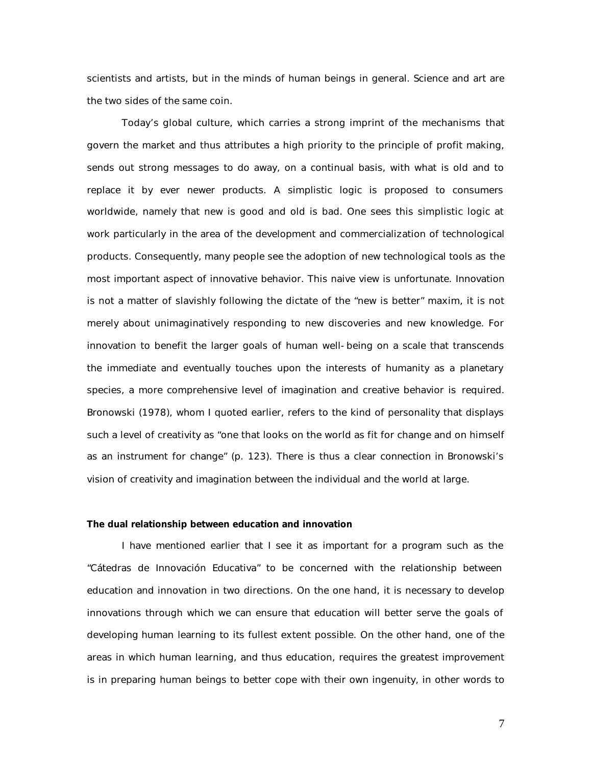scientists and artists, but in the minds of human beings in general. Science and art are the two sides of the same coin.

Today's global culture, which carries a strong imprint of the mechanisms that govern the market and thus attributes a high priority to the principle of profit making, sends out strong messages to do away, on a continual basis, with what is old and to replace it by ever newer products. A simplistic logic is proposed to consumers worldwide, namely that new is good and old is bad. One sees this simplistic logic at work particularly in the area of the development and commercialization of technological products. Consequently, many people see the adoption of new technological tools as the most important aspect of innovative behavior. This naive view is unfortunate. Innovation is not a matter of slavishly following the dictate of the "new is better" maxim, it is not merely about unimaginatively responding to new discoveries and new knowledge. For innovation to benefit the larger goals of human well-being on a scale that transcends the immediate and eventually touches upon the interests of humanity as a planetary species, a more comprehensive level of imagination and creative behavior is required. Bronowski (1978), whom I quoted earlier, refers to the kind of personality that displays such a level of creativity as "one that looks on the world as fit for change and on himself as an instrument for change" (p. 123). There is thus a clear connection in Bronowski's vision of creativity and imagination between the individual and the world at large.

#### **The dual relationship between education and innovation**

I have mentioned earlier that I see it as important for a program such as the "Cátedras de Innovación Educativa" to be concerned with the relationship between education and innovation in two directions. On the one hand, it is necessary to develop innovations through which we can ensure that education will better serve the goals of developing human learning to its fullest extent possible. On the other hand, one of the areas in which human learning, and thus education, requires the greatest improvement is in preparing human beings to better cope with their own ingenuity, in other words to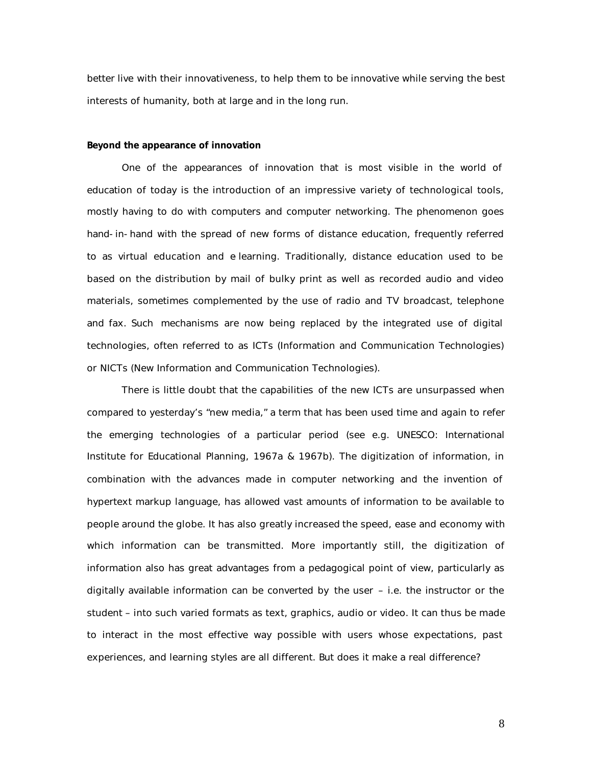better live with their innovativeness, to help them to be innovative while serving the best interests of humanity, both at large and in the long run.

#### **Beyond the appearance of innovation**

One of the *appearances* of innovation that is most visible in the world of education of today is the introduction of an impressive variety of technological tools, mostly having to do with computers and computer networking. The phenomenon goes hand-in-hand with the spread of new forms of distance education, frequently referred to as virtual education and e-learning. Traditionally, distance education used to be based on the distribution by mail of bulky print as well as recorded audio and video materials, sometimes complemented by the use of radio and TV broadcast, telephone and fax. Such mechanisms are now being replaced by the integrated use of digital technologies, often referred to as ICTs (Information and Communication Technologies) or NICTs (New Information and Communication Technologies).

There is little doubt that the capabilities of the new ICTs are unsurpassed when compared to yesterday's "new media," a term that has been used time and again to refer the emerging technologies of a particular period (see e.g. UNESCO: International Institute for Educational Planning, 1967a & 1967b). The digitization of information, in combination with the advances made in computer networking and the invention of hypertext markup language, has allowed vast amounts of information to be available to people around the globe. It has also greatly increased the speed, ease and economy with which information can be transmitted. More importantly still, the digitization of information also has great advantages from a pedagogical point of view, particularly as digitally available information can be converted by the user – i.e. the instructor or the student – into such varied formats as text, graphics, audio or video. It can thus be made to interact in the most effective way possible with users whose expectations, past experiences, and learning styles are all different. But does it make a real difference?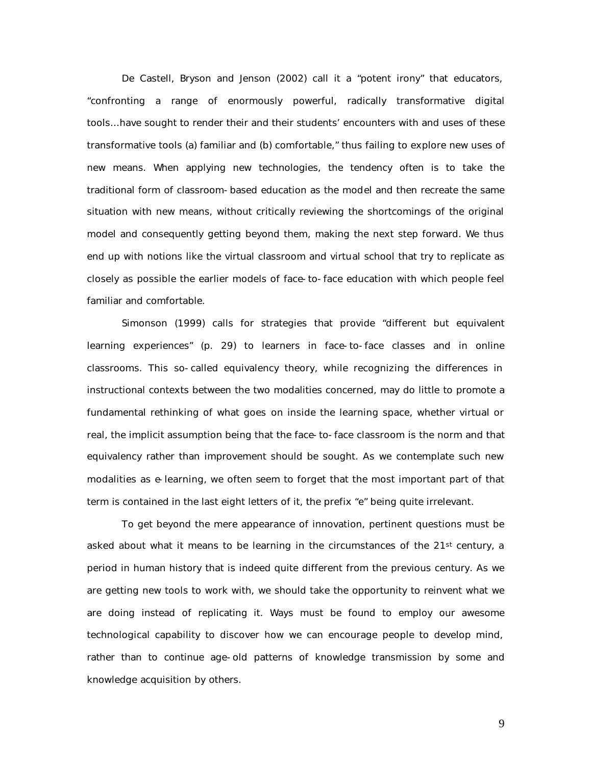De Castell, Bryson and Jenson (2002) call it a "potent irony" that educators, "confronting a range of enormously powerful, radically transformative digital tools…have sought to render their and their students' encounters with and uses of these transformative tools (a) familiar and (b) comfortable," thus failing to explore new uses of new means. When applying new technologies, the tendency often is to take the traditional form of classroom-based education as the model and then recreate the same situation with new means, without critically reviewing the shortcomings of the original model and consequently getting beyond them, making the next step forward. We thus end up with notions like the virtual classroom and virtual school that try to replicate as closely as possible the earlier models of face-to-face education with which people feel familiar and comfortable.

Simonson (1999) calls for strategies that provide "different but equivalent learning experiences" (p. 29) to learners in face-to-face classes and in online classrooms. This so-called equivalency theory, while recognizing the differences in instructional contexts between the two modalities concerned, may do little to promote a fundamental rethinking of what goes on inside the learning space, whether virtual or real, the implicit assumption being that the face-to-face classroom is the norm and that equivalency rather than improvement should be sought. As we contemplate such new modalities as e-learning, we often seem to forget that the most important part of that term is contained in the last eight letters of it, the prefix "e" being quite irrelevant.

To get beyond the mere appearance of innovation, pertinent questions must be asked about what it means to be learning in the circumstances of the 21<sup>st</sup> century, a period in human history that is indeed quite different from the previous century. As we are getting new tools to work with, we should take the opportunity to reinvent what we are doing instead of replicating it. Ways must be found to employ our awesome technological capability to discover how we can encourage people to develop mind, rather than to continue age-old patterns of knowledge transmission by some and knowledge acquisition by others.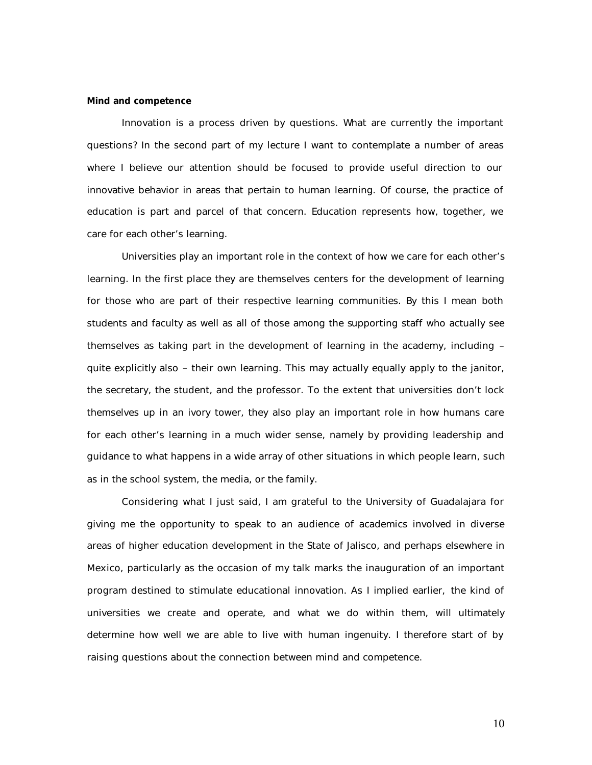#### **Mind and competence**

Innovation is a process driven by questions. What are currently the important questions? In the second part of my lecture I want to contemplate a number of areas where I believe our attention should be focused to provide useful direction to our innovative behavior in areas that pertain to human learning. Of course, the practice of education is part and parcel of that concern. Education represents how, together, we care for each other's learning.

Universities play an important role in the context of how we care for each other's learning. In the first place they are themselves centers for the development of learning for those who are part of their respective learning communities. By this I mean both students and faculty as well as all of those among the supporting staff who actually see themselves as taking part in the development of learning in the academy, including – quite explicitly also – their own learning. This may actually equally apply to the janitor, the secretary, the student, and the professor. To the extent that universities don't lock themselves up in an ivory tower, they also play an important role in how humans care for each other's learning in a much wider sense, namely by providing leadership and guidance to what happens in a wide array of other situations in which people learn, such as in the school system, the media, or the family.

Considering what I just said, I am grateful to the University of Guadalajara for giving me the opportunity to speak to an audience of academics involved in diverse areas of higher education development in the State of Jalisco, and perhaps elsewhere in Mexico, particularly as the occasion of my talk marks the inauguration of an important program destined to stimulate educational innovation. As I implied earlier, the kind of universities we create and operate, and what we do within them, will ultimately determine how well we are able to live with human ingenuity. I therefore start of by raising questions about the connection between mind and competence.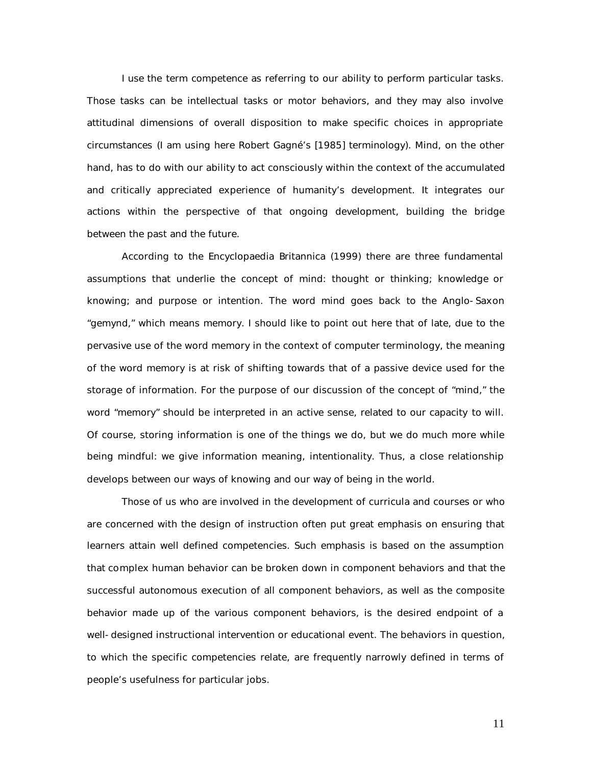I use the term competence as referring to our ability to perform particular tasks. Those tasks can be intellectual tasks or motor behaviors, and they may also involve attitudinal dimensions of overall disposition to make specific choices in appropriate circumstances (I am using here Robert Gagné's [1985] terminology). Mind, on the other hand, has to do with our ability to act consciously within the context of the accumulated and critically appreciated experience of humanity's development. It integrates our actions within the perspective of that ongoing development, building the bridge between the past and the future.

According to the Encyclopaedia Britannica (1999) there are three fundamental assumptions that underlie the concept of mind: thought or thinking; knowledge or knowing; and purpose or intention. The word mind goes back to the Anglo-Saxon "gemynd," which means memory. I should like to point out here that of late, due to the pervasive use of the word memory in the context of computer terminology, the meaning of the word memory is at risk of shifting towards that of a passive device used for the storage of information. For the purpose of our discussion of the concept of "mind," the word "memory" should be interpreted in an active sense, related to our capacity to will. Of course, storing information is one of the things we do, but we do much more while being mindful: we give information meaning, intentionality. Thus, a close relationship develops between our ways of knowing and our way of being in the world.

Those of us who are involved in the development of curricula and courses or who are concerned with the design of instruction often put great emphasis on ensuring that learners attain well defined competencies. Such emphasis is based on the assumption that complex human behavior can be broken down in component behaviors and that the successful autonomous execution of all component behaviors, as well as the composite behavior made up of the various component behaviors, is the desired endpoint of a well-designed instructional intervention or educational event. The behaviors in question, to which the specific competencies relate, are frequently narrowly defined in terms of people's usefulness for particular jobs.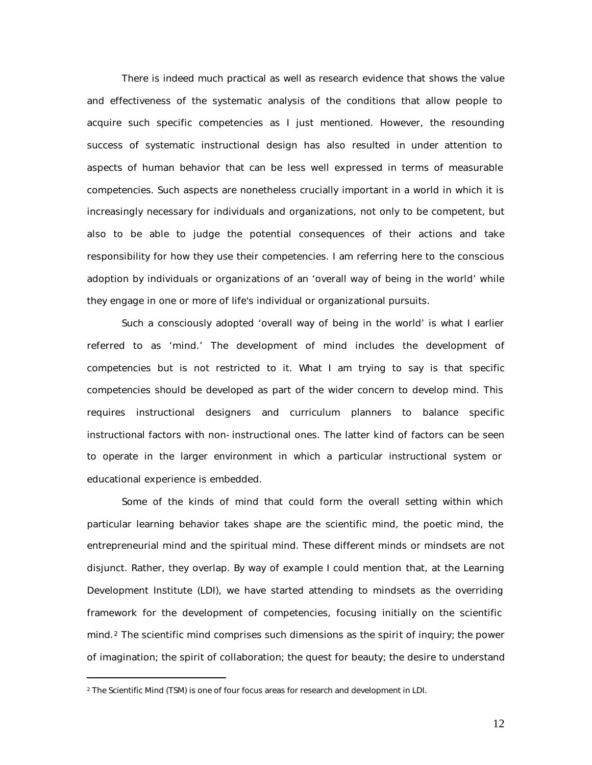There is indeed much practical as well as research evidence that shows the value and effectiveness of the systematic analysis of the conditions that allow people to acquire such specific competencies as I just mentioned. However, the resounding success of systematic instructional design has also resulted in under attention to aspects of human behavior that can be less well expressed in terms of measurable competencies. Such aspects are nonetheless crucially important in a world in which it is increasingly necessary for individuals and organizations, not only to be competent, but also to be able to judge the potential consequences of their actions and take responsibility for how they use their competencies. I am referring here to the conscious adoption by individuals or organizations of an 'overall way of being in the world' while they engage in one or more of life's individual or organizational pursuits.

Such a consciously adopted 'overall way of being in the world' is what I earlier referred to as 'mind.' The development of mind includes the development of competencies but is not restricted to it. What I am trying to say is that specific competencies should be developed as part of the wider concern to develop mind. This requires instructional designers and curriculum planners to balance specific instructional factors with non-instructional ones. The latter kind of factors can be seen to operate in the larger environment in which a particular instructional system or educational experience is embedded.

Some of the kinds of mind that could form the overall setting within which particular learning behavior takes shape are the scientific mind, the poetic mind, the entrepreneurial mind and the spiritual mind. These different minds or mindsets are not disjunct. Rather, they overlap. By way of example I could mention that, at the Learning Development Institute (LDI), we have started attending to mindsets as the overriding framework for the development of competencies, focusing initially on the scientific mind.<sup>2</sup> The scientific mind comprises such dimensions as the spirit of inquiry; the power of imagination; the spirit of collaboration; the quest for beauty; the desire to understand

 $\overline{a}$ 

<sup>2</sup> The Scientific Mind (TSM) is one of four focus areas for research and development in LDI.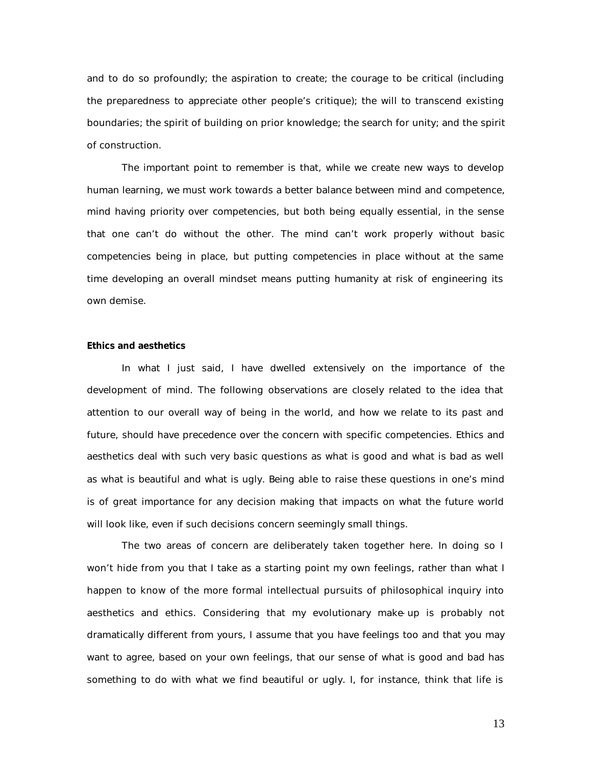and to do so profoundly; the aspiration to create; the courage to be critical (including the preparedness to appreciate other people's critique); the will to transcend existing boundaries; the spirit of building on prior knowledge; the search for unity; and the spirit of construction.

The important point to remember is that, while we create new ways to develop human learning, we must work towards a better balance between mind and competence, mind having priority over competencies, but both being equally essential, in the sense that one can't do without the other. The mind can't work properly without basic competencies being in place, but putting competencies in place without at the same time developing an overall mindset means putting humanity at risk of engineering its own demise.

#### **Ethics and aesthetics**

In what I just said, I have dwelled extensively on the importance of the development of mind. The following observations are closely related to the idea that attention to our overall way of being in the world, and how we relate to its past and future, should have precedence over the concern with specific competencies. Ethics and aesthetics deal with such very basic questions as what is good and what is bad as well as what is beautiful and what is ugly. Being able to raise these questions in one's mind is of great importance for any decision making that impacts on what the future world will look like, even if such decisions concern seemingly small things.

The two areas of concern are deliberately taken together here. In doing so I won't hide from you that I take as a starting point my own feelings, rather than what I happen to know of the more formal intellectual pursuits of philosophical inquiry into aesthetics and ethics. Considering that my evolutionary make-up is probably not dramatically different from yours, I assume that you have feelings too and that you may want to agree, based on your own feelings, that our sense of what is good and bad has something to do with what we find beautiful or ugly. I, for instance, think that life is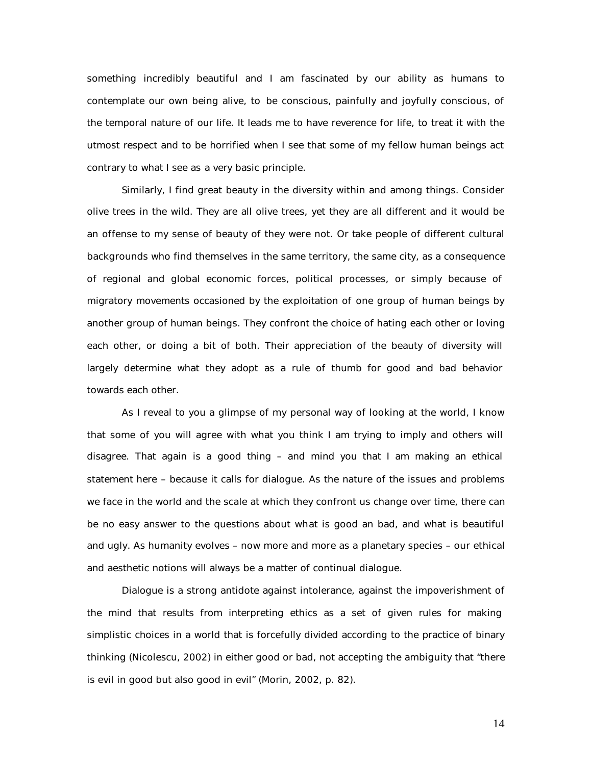something incredibly beautiful and I am fascinated by our ability as humans to contemplate our own being alive, to be conscious, painfully and joyfully conscious, of the temporal nature of our life. It leads me to have reverence for life, to treat it with the utmost respect and to be horrified when I see that some of my fellow human beings act contrary to what I see as a very basic principle.

Similarly, I find great beauty in the diversity within and among things. Consider olive trees in the wild. They are all olive trees, yet they are all different and it would be an offense to my sense of beauty of they were not. Or take people of different cultural backgrounds who find themselves in the same territory, the same city, as a consequence of regional and global economic forces, political processes, or simply because of migratory movements occasioned by the exploitation of one group of human beings by another group of human beings. They confront the choice of hating each other or loving each other, or doing a bit of both. Their appreciation of the beauty of diversity will largely determine what they adopt as a rule of thumb for good and bad behavior towards each other.

As I reveal to you a glimpse of my personal way of looking at the world, I know that some of you will agree with what you think I am trying to imply and others will disagree. That again is a good thing – and mind you that I am making an ethical statement here – because it calls for dialogue. As the nature of the issues and problems we face in the world and the scale at which they confront us change over time, there can be no easy answer to the questions about what is good an bad, and what is beautiful and ugly. As humanity evolves – now more and more as a planetary species – our ethical and aesthetic notions will always be a matter of continual dialogue.

Dialogue is a strong antidote against intolerance, against the impoverishment of the mind that results from interpreting ethics as a set of given rules for making simplistic choices in a world that is forcefully divided according to the practice of binary thinking (Nicolescu, 2002) in either good or bad, not accepting the ambiguity that "there is evil in good but also good in evil" (Morin, 2002, p. 82).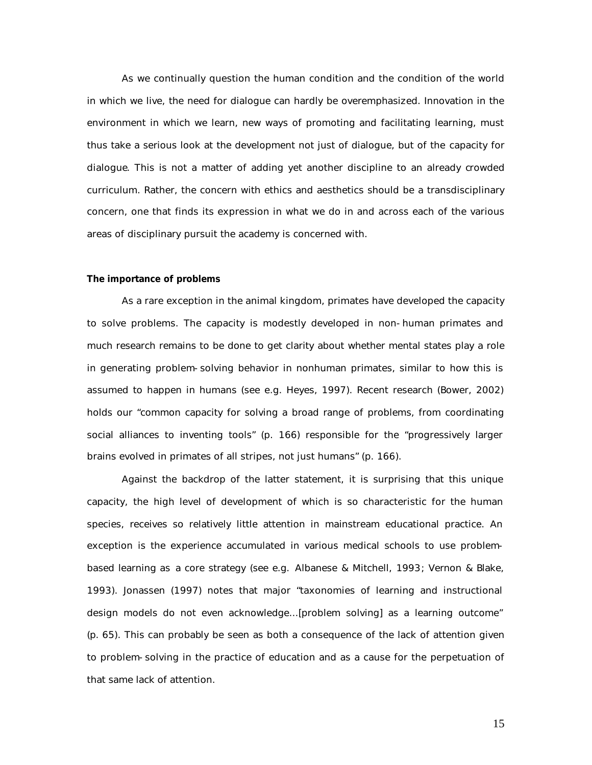As we continually question the human condition and the condition of the world in which we live, the need for dialogue can hardly be overemphasized. Innovation in the environment in which we learn, new ways of promoting and facilitating learning, must thus take a serious look at the development not just of dialogue, but of the *capacity for dialogue*. This is not a matter of adding yet another discipline to an already crowded curriculum. Rather, the concern with ethics and aesthetics should be a transdisciplinary concern, one that finds its expression in what we do in and across each of the various areas of disciplinary pursuit the academy is concerned with.

#### **The importance of problems**

As a rare exception in the animal kingdom, primates have developed the capacity to solve problems. The capacity is modestly developed in non-human primates and much research remains to be done to get clarity about whether mental states play a role in generating problem-solving behavior in nonhuman primates, similar to how this is assumed to happen in humans (see e.g. Heyes, 1997). Recent research (Bower, 2002) holds our "common capacity for solving a broad range of problems, from coordinating social alliances to inventing tools" (p. 166) responsible for the "progressively larger brains evolved in primates of all stripes, not just humans" (p. 166).

Against the backdrop of the latter statement, it is surprising that this unique capacity, the high level of development of which is so characteristic for the human species, receives so relatively little attention in mainstream educational practice. An exception is the experience accumulated in various medical schools to use problembased learning as a core strategy (see e.g. Albanese & Mitchell, 1993; Vernon & Blake, 1993). Jonassen (1997) notes that major "taxonomies of learning and instructional design models do not even acknowledge...[problem solving] as a learning outcome" (p. 65). This can probably be seen as both a consequence of the lack of attention given to problem-solving in the practice of education and as a cause for the perpetuation of that same lack of attention.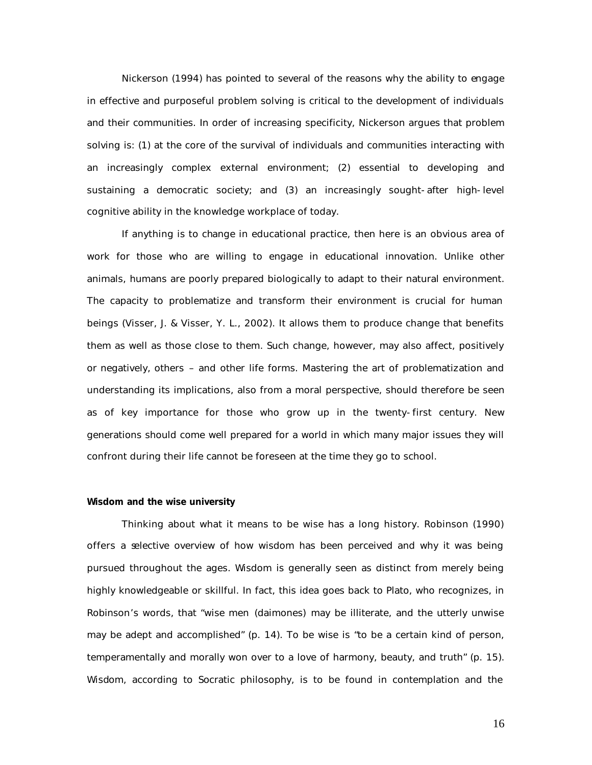Nickerson (1994) has pointed to several of the reasons why the ability to engage in effective and purposeful problem solving is critical to the development of individuals and their communities. In order of increasing specificity, Nickerson argues that problem solving is: (1) at the core of the survival of individuals and communities interacting with an increasingly complex external environment; (2) essential to developing and sustaining a democratic society; and (3) an increasingly sought-after high-level cognitive ability in the knowledge workplace of today.

If anything is to change in educational practice, then here is an obvious area of work for those who are willing to engage in educational innovation. Unlike other animals, humans are poorly prepared biologically to adapt to their natural environment. The capacity to problematize and transform their environment is crucial for human beings (Visser, J. & Visser, Y. L., 2002). It allows them to produce change that benefits them as well as those close to them. Such change, however, may also affect, positively or negatively, others – and other life forms. Mastering the art of problematization and understanding its implications, also from a moral perspective, should therefore be seen as of key importance for those who grow up in the twenty-first century. New generations should come well prepared for a world in which many major issues they will confront during their life cannot be foreseen at the time they go to school.

#### **Wisdom and the wise university**

Thinking about what it means to be wise has a long history. Robinson (1990) offers a selective overview of how wisdom has been perceived and why it was being pursued throughout the ages. Wisdom is generally seen as distinct from merely being highly knowledgeable or skillful. In fact, this idea goes back to Plato, who recognizes, in Robinson's words, that "wise men *(daimones)* may be illiterate, and the utterly unwise may be adept and accomplished" (p. 14). To be wise is "to be a certain kind of person, temperamentally and morally won over to a love of harmony, beauty, and truth" (p. 15). Wisdom, according to Socratic philosophy, is to be found in contemplation and the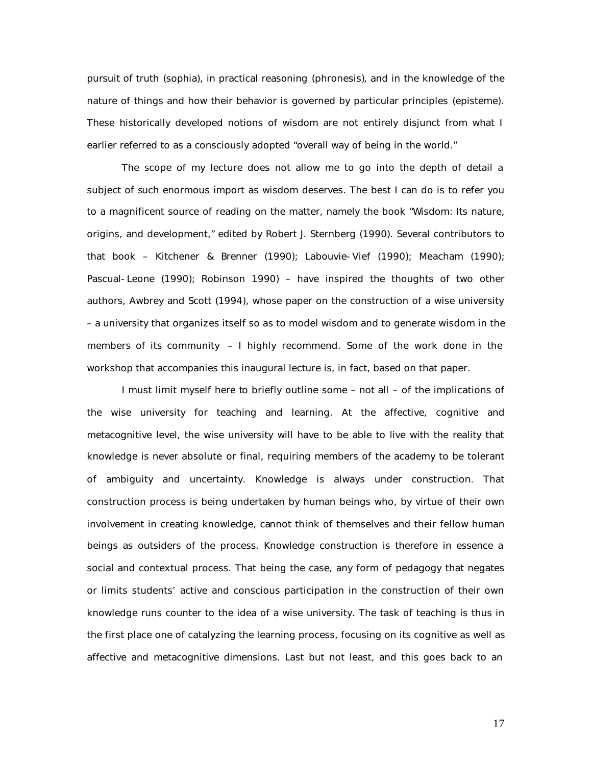pursuit of truth *(sophia)*, in practical reasoning *(phronesis)*, and in the knowledge of the nature of things and how their behavior is governed by particular principles *(episteme)*. These historically developed notions of wisdom are not entirely disjunct from what I earlier referred to as a consciously adopted "overall way of being in the world."

The scope of my lecture does not allow me to go into the depth of detail a subject of such enormous import as wisdom deserves. The best I can do is to refer you to a magnificent source of reading on the matter, namely the book "Wisdom: Its nature, origins, and development," edited by Robert J. Sternberg (1990). Several contributors to that book – Kitchener & Brenner (1990); Labouvie-Vief (1990); Meacham (1990); Pascual-Leone (1990); Robinson 1990) – have inspired the thoughts of two other authors, Awbrey and Scott (1994), whose paper on the construction of a wise university – a university that organizes itself so as to model wisdom and to generate wisdom in the members of its community – I highly recommend. Some of the work done in the workshop that accompanies this inaugural lecture is, in fact, based on that paper.

I must limit myself here to briefly outline some – not all – of the implications of the wise university for teaching and learning. At the affective, cognitive and metacognitive level, the wise university will have to be able to live with the reality that knowledge is never absolute or final, requiring members of the academy to be tolerant of ambiguity and uncertainty. Knowledge is always under construction. That construction process is being undertaken by human beings who, by virtue of their own involvement in creating knowledge, cannot think of themselves and their fellow human beings as outsiders of the process. Knowledge construction is therefore in essence a social and contextual process. That being the case, any form of pedagogy that negates or limits students' active and conscious participation in the construction of their own knowledge runs counter to the idea of a wise university. The task of teaching is thus in the first place one of catalyzing the learning process, focusing on its cognitive as well as affective and metacognitive dimensions. Last but not least, and this goes back to an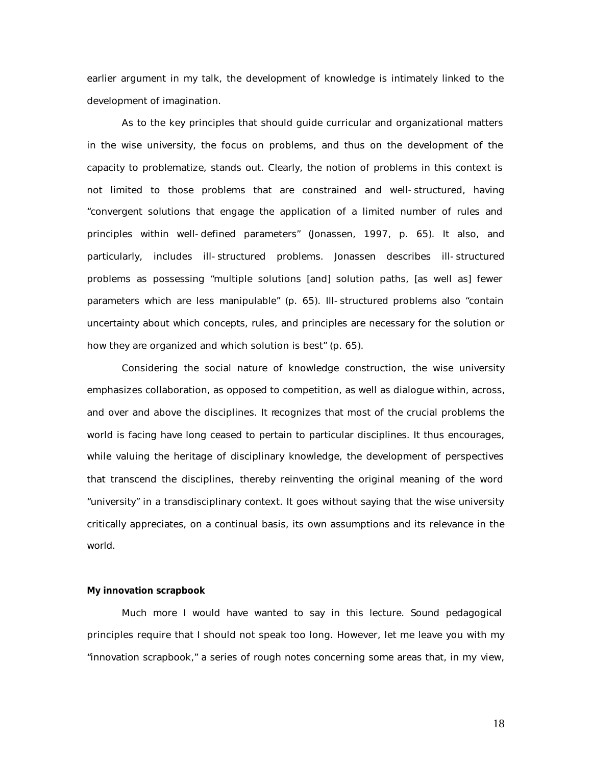earlier argument in my talk, the development of knowledge is intimately linked to the development of imagination.

As to the key principles that should guide curricular and organizational matters in the wise university, the focus on problems, and thus on the development of the capacity to problematize, stands out. Clearly, the notion of problems in this context is not limited to those problems that are constrained and well-structured, having "convergent solutions that engage the application of a limited number of rules and principles within well-defined parameters" (Jonassen, 1997, p. 65). It also, and particularly, includes ill-structured problems. Jonassen describes ill-structured problems as possessing "multiple solutions [and] solution paths, [as well as] fewer parameters which are less manipulable" (p. 65). Ill-structured problems also "contain uncertainty about which concepts, rules, and principles are necessary for the solution or how they are organized and which solution is best" (p. 65).

Considering the social nature of knowledge construction, the wise university emphasizes collaboration, as opposed to competition, as well as dialogue within, across, and over and above the disciplines. It recognizes that most of the crucial problems the world is facing have long ceased to pertain to particular disciplines. It thus encourages, while valuing the heritage of disciplinary knowledge, the development of perspectives that transcend the disciplines, thereby reinventing the original meaning of the word "university" in a transdisciplinary context. It goes without saying that the wise university critically appreciates, on a continual basis, its own assumptions and its relevance in the world.

#### **My innovation scrapbook**

Much more I would have wanted to say in this lecture. Sound pedagogical principles require that I should not speak too long. However, let me leave you with my "innovation scrapbook," a series of rough notes concerning some areas that, in my view,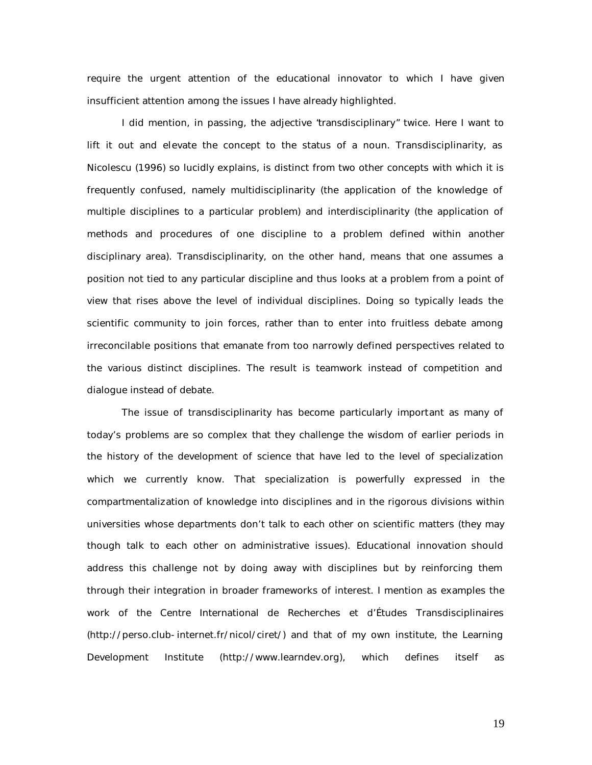require the urgent attention of the educational innovator to which I have given insufficient attention among the issues I have already highlighted.

I did mention, in passing, the adjective "*transdisciplinary*" twice. Here I want to lift it out and elevate the concept to the status of a noun. Transdisciplinarity, as Nicolescu (1996) so lucidly explains, is distinct from two other concepts with which it is frequently confused, namely multidisciplinarity (the application of the knowledge of multiple disciplines to a particular problem) and interdisciplinarity (the application of methods and procedures of one discipline to a problem defined within another disciplinary area). Transdisciplinarity, on the other hand, means that one assumes a position not tied to any particular discipline and thus looks at a problem from a point of view that rises above the level of individual disciplines. Doing so typically leads the scientific community to join forces, rather than to enter into fruitless debate among irreconcilable positions that emanate from too narrowly defined perspectives related to the various distinct disciplines. The result is teamwork instead of competition and dialogue instead of debate.

The issue of transdisciplinarity has become particularly important as many of today's problems are so complex that they challenge the wisdom of earlier periods in the history of the development of science that have led to the level of specialization which we currently know. That specialization is powerfully expressed in the compartmentalization of knowledge into disciplines and in the rigorous divisions within universities whose departments don't talk to each other on scientific matters (they may though talk to each other on administrative issues). Educational innovation should address this challenge not by doing away with disciplines but by reinforcing them through their integration in broader frameworks of interest. I mention as examples the work of the Centre International de Recherches et d'Études Transdisciplinaires (http://perso.club-internet.fr/nicol/ciret/) and that of my own institute, the Learning Development Institute (http://www.learndev.org), which defines itself as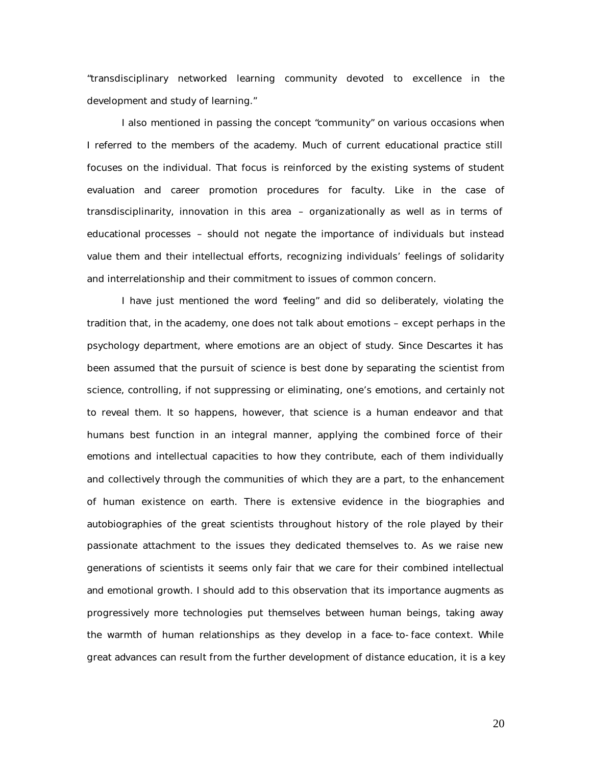"transdisciplinary networked learning community devoted to excellence in the development and study of learning."

I also mentioned in passing the concept "*community*" on various occasions when I referred to the members of the academy. Much of current educational practice still focuses on the individual. That focus is reinforced by the existing systems of student evaluation and career promotion procedures for faculty. Like in the case of transdisciplinarity, innovation in this area – organizationally as well as in terms of educational processes – should not negate the importance of individuals but instead value them and their intellectual efforts, recognizing individuals' feelings of solidarity and interrelationship and their commitment to issues of common concern.

I have just mentioned the word "*feeling*" and did so deliberately, violating the tradition that, in the academy, one does not talk about emotions – except perhaps in the psychology department, where emotions are an object of study. Since Descartes it has been assumed that the pursuit of science is best done by separating the scientist from science, controlling, if not suppressing or eliminating, one's emotions, and certainly not to reveal them. It so happens, however, that science is a human endeavor and that humans best function in an integral manner, applying the combined force of their emotions and intellectual capacities to how they contribute, each of them individually and collectively through the communities of which they are a part, to the enhancement of human existence on earth. There is extensive evidence in the biographies and autobiographies of the great scientists throughout history of the role played by their passionate attachment to the issues they dedicated themselves to. As we raise new generations of scientists it seems only fair that we care for their combined intellectual and emotional growth. I should add to this observation that its importance augments as progressively more technologies put themselves between human beings, taking away the warmth of human relationships as they develop in a face-to-face context. While great advances can result from the further development of distance education, it is a key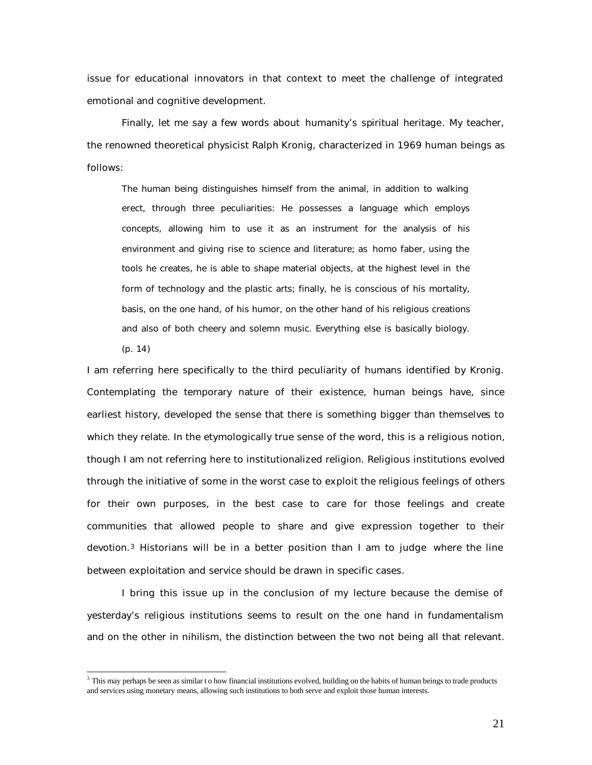issue for educational innovators in that context to meet the challenge of integrated emotional and cognitive development.

Finally, let me say a few words about *humanity's spiritual heritage*. My teacher, the renowned theoretical physicist Ralph Kronig, characterized in 1969 human beings as follows:

The human being distinguishes himself from the animal, in addition to walking erect, through three peculiarities: He possesses a language which employs concepts, allowing him to use it as an instrument for the analysis of his environment and giving rise to science and literature; as *homo faber*, using the tools he creates, he is able to shape material objects, at the highest level in the form of technology and the plastic arts; finally, he is conscious of his mortality, basis, on the one hand, of his humor, on the other hand of his religious creations and also of both cheery and solemn music. Everything else is basically biology.

(p. 14)

 $\overline{a}$ 

I am referring here specifically to the third peculiarity of humans identified by Kronig. Contemplating the temporary nature of their existence, human beings have, since earliest history, developed the sense that there is something bigger than themselves to which they relate. In the etymologically true sense of the word, this is a religious notion, though I am not referring here to institutionalized religion. Religious institutions evolved through the initiative of some in the worst case to exploit the religious feelings of others for their own purposes, in the best case to care for those feelings and create communities that allowed people to share and give expression together to their devotion.<sup>3</sup> Historians will be in a better position than I am to judge where the line between exploitation and service should be drawn in specific cases.

I bring this issue up in the conclusion of my lecture because the demise of yesterday's religious institutions seems to result on the one hand in fundamentalism and on the other in nihilism, the distinction between the two not being all that relevant.

<sup>&</sup>lt;sup>3</sup> This may perhaps be seen as similar to how financial institutions evolved, building on the habits of human beings to trade products and services using monetary means, allowing such institutions to both serve and exploit those human interests.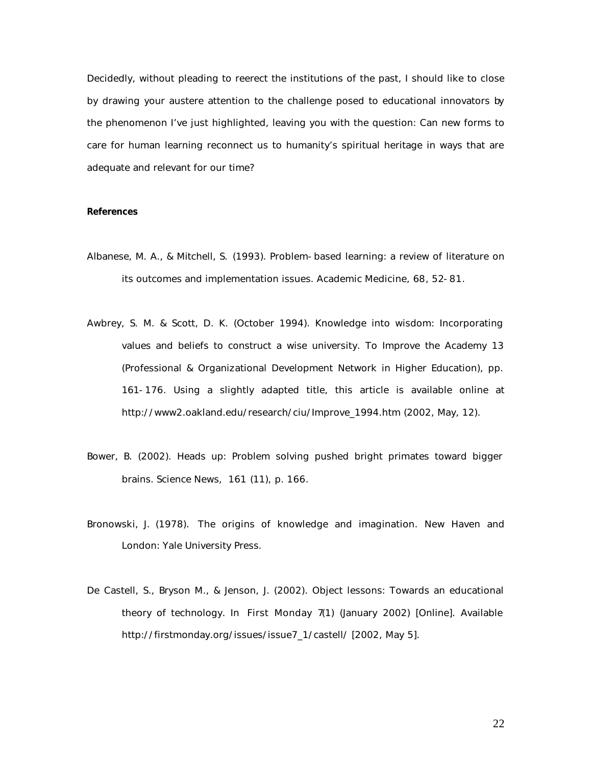Decidedly, without pleading to reerect the institutions of the past, I should like to close by drawing your austere attention to the challenge posed to educational innovators by the phenomenon I've just highlighted, leaving you with the question: Can new forms to care for human learning reconnect us to humanity's spiritual heritage in ways that are adequate and relevant for our time?

#### **References**

- Albanese, M. A., & Mitchell, S. (1993). Problem-based learning: a review of literature on its outcomes and implementation issues. *Academic Medicine*, *68*, 52-81.
- Awbrey, S. M. & Scott, D. K. (October 1994). Knowledge into wisdom: Incorporating values and beliefs to construct a wise university. *To Improve the Academy 13* (Professional & Organizational Development Network in Higher Education), pp. 161-176. Using a slightly adapted title, this article is available online at http://www2.oakland.edu/research/ciu/Improve\_1994.htm (2002, May, 12).
- Bower, B. (2002). Heads up: Problem solving pushed bright primates toward bigger brains. *Science News*, *161* (11), p. 166.
- Bronowski, J. (1978). *The origins of knowledge and imagination*. New Haven and London: Yale University Press.
- De Castell, S., Bryson M., & Jenson, J. (2002). Object lessons: Towards an educational theory of technology. In *First Monday 7*(1) (January 2002) [Online]. Available http://firstmonday.org/issues/issue7\_1/castell/ [2002, May 5].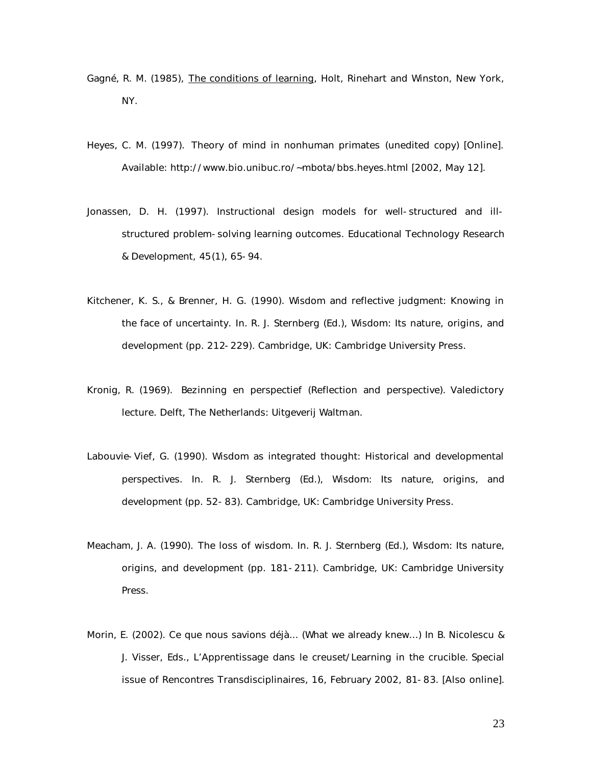- Gagné, R. M. (1985), *The conditions of learning*, Holt, Rinehart and Winston, New York, NY.
- Heyes, C. M. (1997). *Theory of mind in nonhuman primates* (unedited copy) [Online]. Available: http://www.bio.unibuc.ro/~mbota/bbs.heyes.html [2002, May 12].
- Jonassen, D. H. (1997). Instructional design models for well-structured and illstructured problem-solving learning outcomes. *Educational Technology Research & Development*, *45*(1), 65-94.
- Kitchener, K. S., & Brenner, H. G. (1990). Wisdom and reflective judgment: Knowing in the face of uncertainty. In. R. J. Sternberg (Ed.), Wisdom: Its nature, origins, and development (pp. 212-229). Cambridge, UK: Cambridge University Press.
- Kronig, R. (1969). *Bezinning en perspectief (Reflection and perspective).* Valedictory lecture. Delft, The Netherlands: Uitgeverij Waltman.
- Labouvie-Vief, G. (1990). Wisdom as integrated thought: Historical and developmental perspectives. In. R. J. Sternberg (Ed.), Wisdom: Its nature, origins, and development (pp. 52-83). Cambridge, UK: Cambridge University Press.
- Meacham, J. A. (1990). The loss of wisdom. In. R. J. Sternberg (Ed.), Wisdom: Its nature, origins, and development (pp. 181-211). Cambridge, UK: Cambridge University Press.
- Morin, E. (2002). Ce que nous savions déjà... (What we already knew...) In B. Nicolescu & J. Visser, Eds., *L'Apprentissage dans le creuset/Learning in the crucible.* Special issue of *Rencontres Transdisciplinaires, 16, February 2002,* 81-83*.* [Also online].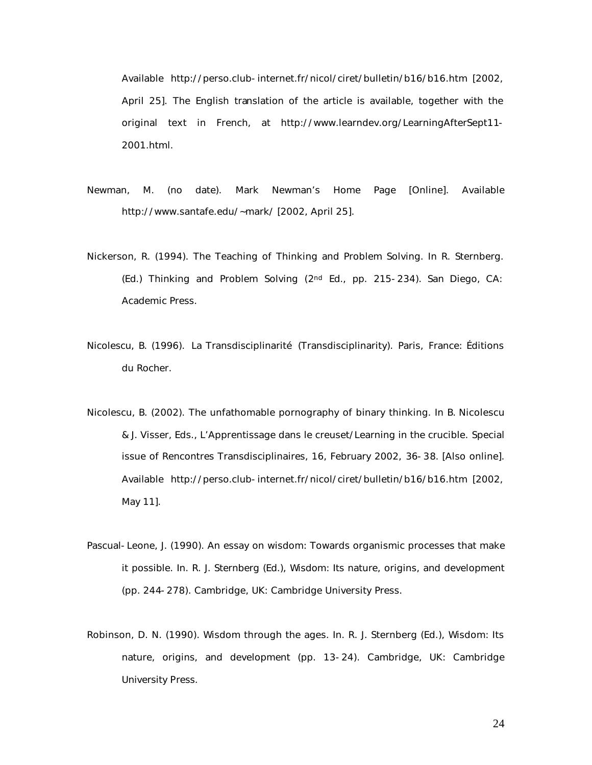Available http://perso.club-internet.fr/nicol/ciret/bulletin/b16/b16.htm [2002, April 25]. The English translation of the article is available, together with the original text in French, at http://www.learndev.org/LearningAfterSept11- 2001.html.

- Newman, M. (no date). *Mark Newman's Home Page* [Online]. Available http://www.santafe.edu/~mark/ [2002, April 25].
- Nickerson, R. (1994). The Teaching of Thinking and Problem Solving. In R. Sternberg. (Ed.) *Thinking and Problem Solving* (2nd Ed., pp. 215-234). San Diego, CA: Academic Press.
- Nicolescu, B. (1996). *La Transdisciplinarité* (Transdisciplinarity). Paris, France: Éditions du Rocher.
- Nicolescu, B. (2002). The unfathomable pornography of binary thinking. In B. Nicolescu & J. Visser, Eds., *L'Apprentissage dans le creuset/Learning in the crucible.* Special issue of *Rencontres Transdisciplinaires, 16, February 2002, 36-38.* [Also online]. Available http://perso.club-internet.fr/nicol/ciret/bulletin/b16/b16.htm [2002, May 11].
- Pascual-Leone, J. (1990). An essay on wisdom: Towards organismic processes that make it possible. In. R. J. Sternberg (Ed.), Wisdom: Its nature, origins, and development (pp. 244-278). Cambridge, UK: Cambridge University Press.
- Robinson, D. N. (1990). Wisdom through the ages. In. R. J. Sternberg (Ed.), Wisdom: Its nature, origins, and development (pp. 13-24). Cambridge, UK: Cambridge University Press.